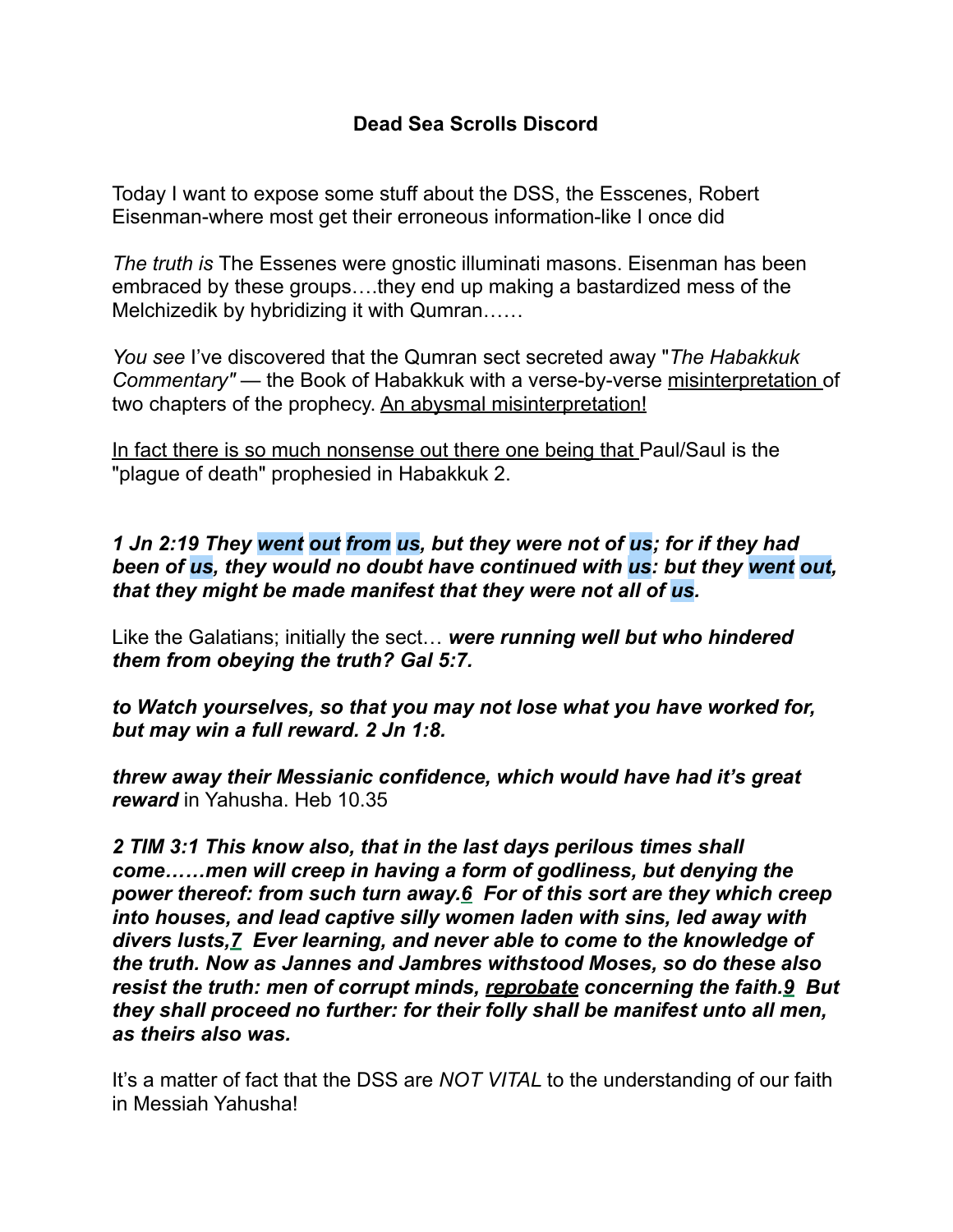## **Dead Sea Scrolls Discord**

Today I want to expose some stuff about the DSS, the Esscenes, Robert Eisenman-where most get their erroneous information-like I once did

*The truth is* The Essenes were gnostic illuminati masons. Eisenman has been embraced by these groups….they end up making a bastardized mess of the Melchizedik by hybridizing it with Qumran……

*You see* I've discovered that the Qumran sect secreted away "*The Habakkuk Commentary"* — the Book of Habakkuk with a verse-by-verse misinterpretation of two chapters of the prophecy. An abysmal misinterpretation!

In fact there is so much nonsense out there one being that Paul/Saul is the "plague of death" prophesied in Habakkuk 2.

## *1 Jn 2:19 They went out from us, but they were not of us; for if they had been of us, they would no doubt have continued with us: but they went out, that they might be made manifest that they were not all of us.*

Like the Galatians; initially the sect… *were running well but who hindered them from obeying the truth? Gal 5:7.* 

*to Watch yourselves, so that you may not lose what you have worked for, but may win a full reward. 2 Jn 1:8.* 

*threw away their Messianic confidence, which would have had it's great reward* in Yahusha. Heb 10.35

*2 TIM 3:1 This know also, that in the last days perilous times shall come……men will creep in having a form of godliness, but denying the power thereof: from such turn away.6 For of this sort are they which creep into houses, and lead captive silly women laden with sins, led away with divers lusts,7 Ever learning, and never able to come to the knowledge of the truth. Now as Jannes and Jambres withstood Moses, so do these also resist the truth: men of corrupt minds, reprobate concerning the faith.9 But they shall proceed no further: for their folly shall be manifest unto all men, as theirs also was.*

It's a matter of fact that the DSS are *NOT VITAL* to the understanding of our faith in Messiah Yahusha!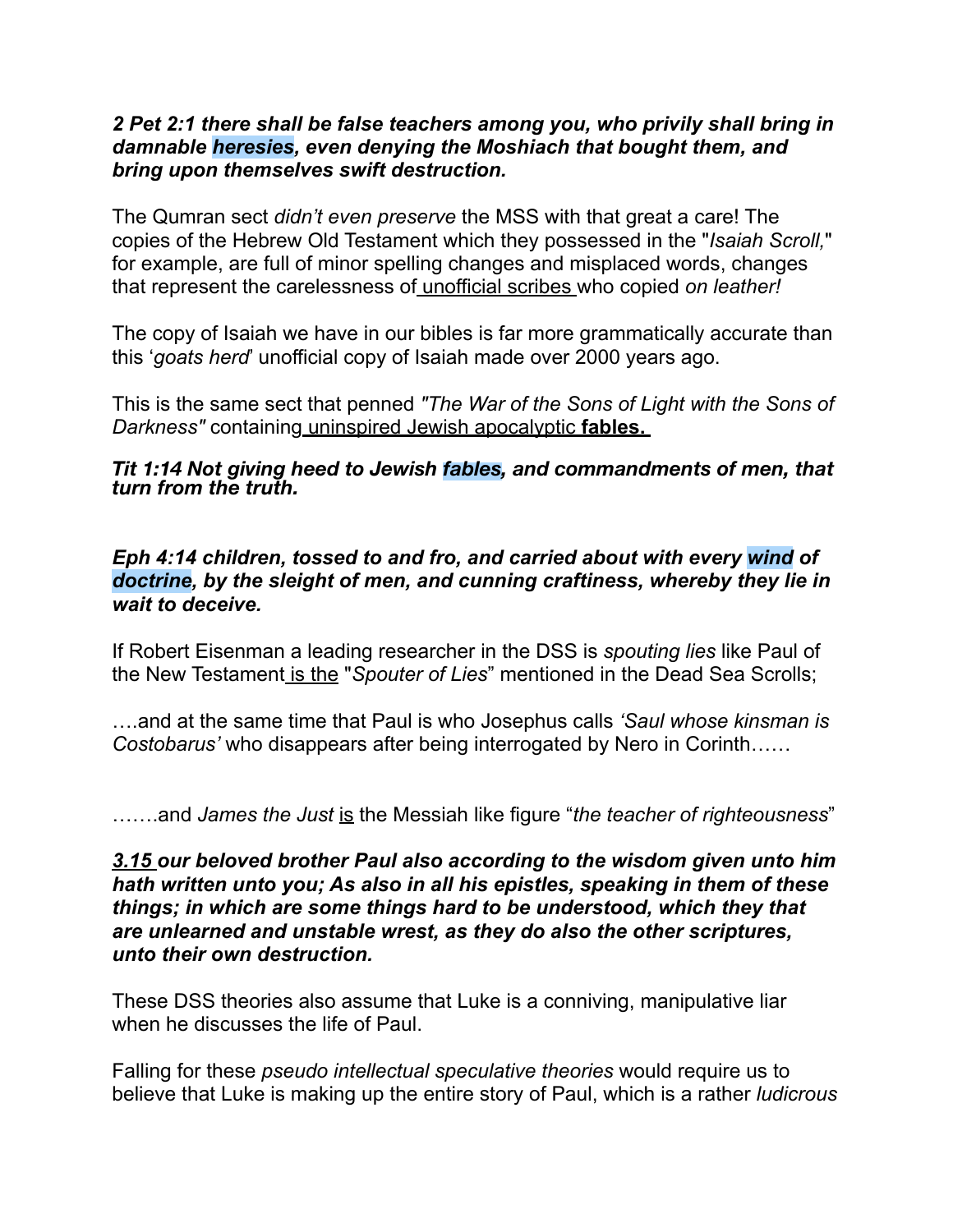## *2 Pet 2:1 there shall be false teachers among you, who privily shall bring in damnable heresies, even denying the Moshiach that bought them, and bring upon themselves swift destruction.*

The Qumran sect *didn't even preserve* the MSS with that great a care! The copies of the Hebrew Old Testament which they possessed in the "*Isaiah Scroll,*" for example, are full of minor spelling changes and misplaced words, changes that represent the carelessness of unofficial scribes who copied *on leather!* 

The copy of Isaiah we have in our bibles is far more grammatically accurate than this '*goats herd*' unofficial copy of Isaiah made over 2000 years ago.

This is the same sect that penned *"The War of the Sons of Light with the Sons of Darkness"* containing uninspired Jewish apocalyptic **fables.** 

*Tit 1:14 Not giving heed to Jewish fables, and commandments of men, that turn from the truth.* 

## *Eph 4:14 children, tossed to and fro, and carried about with every wind of doctrine, by the sleight of men, and cunning craftiness, whereby they lie in wait to deceive.*

If Robert Eisenman a leading researcher in the DSS is *spouting lies* like Paul of the New Testament is the "*Spouter of Lies*" mentioned in the Dead Sea Scrolls;

….and at the same time that Paul is who Josephus calls *'Saul whose kinsman is Costobarus'* who disappears after being interrogated by Nero in Corinth……

…….and *James the Just* is the Messiah like figure "*the teacher of righteousness*"

*3.15 our beloved brother Paul also according to the wisdom given unto him hath written unto you; As also in all his epistles, speaking in them of these things; in which are some things hard to be understood, which they that are unlearned and unstable wrest, as they do also the other scriptures, unto their own destruction.*

These DSS theories also assume that Luke is a conniving, manipulative liar when he discusses the life of Paul.

Falling for these *pseudo intellectual speculative theories* would require us to believe that Luke is making up the entire story of Paul, which is a rather *ludicrous*